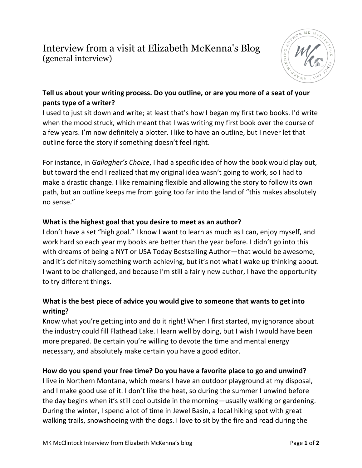# Interview from a visit at Elizabeth McKenna's Blog (general interview)



### **Tell us about your writing process. Do you outline, or are you more of a seat of your pants type of a writer?**

I used to just sit down and write; at least that's how I began my first two books. I'd write when the mood struck, which meant that I was writing my first book over the course of a few years. I'm now definitely a plotter. I like to have an outline, but I never let that outline force the story if something doesn't feel right.

For instance, in *Gallagher's Choice*, I had a specific idea of how the book would play out, but toward the end I realized that my original idea wasn't going to work, so I had to make a drastic change. I like remaining flexible and allowing the story to follow its own path, but an outline keeps me from going too far into the land of "this makes absolutely no sense."

#### **What is the highest goal that you desire to meet as an author?**

I don't have a set "high goal." I know I want to learn as much as I can, enjoy myself, and work hard so each year my books are better than the year before. I didn't go into this with dreams of being a NYT or USA Today Bestselling Author—that would be awesome, and it's definitely something worth achieving, but it's not what I wake up thinking about. I want to be challenged, and because I'm still a fairly new author, I have the opportunity to try different things.

#### **What is the best piece of advice you would give to someone that wants to get into writing?**

Know what you're getting into and do it right! When I first started, my ignorance about the industry could fill Flathead Lake. I learn well by doing, but I wish I would have been more prepared. Be certain you're willing to devote the time and mental energy necessary, and absolutely make certain you have a good editor.

#### **How do you spend your free time? Do you have a favorite place to go and unwind?**

I live in Northern Montana, which means I have an outdoor playground at my disposal, and I make good use of it. I don't like the heat, so during the summer I unwind before the day begins when it's still cool outside in the morning—usually walking or gardening. During the winter, I spend a lot of time in Jewel Basin, a local hiking spot with great walking trails, snowshoeing with the dogs. I love to sit by the fire and read during the